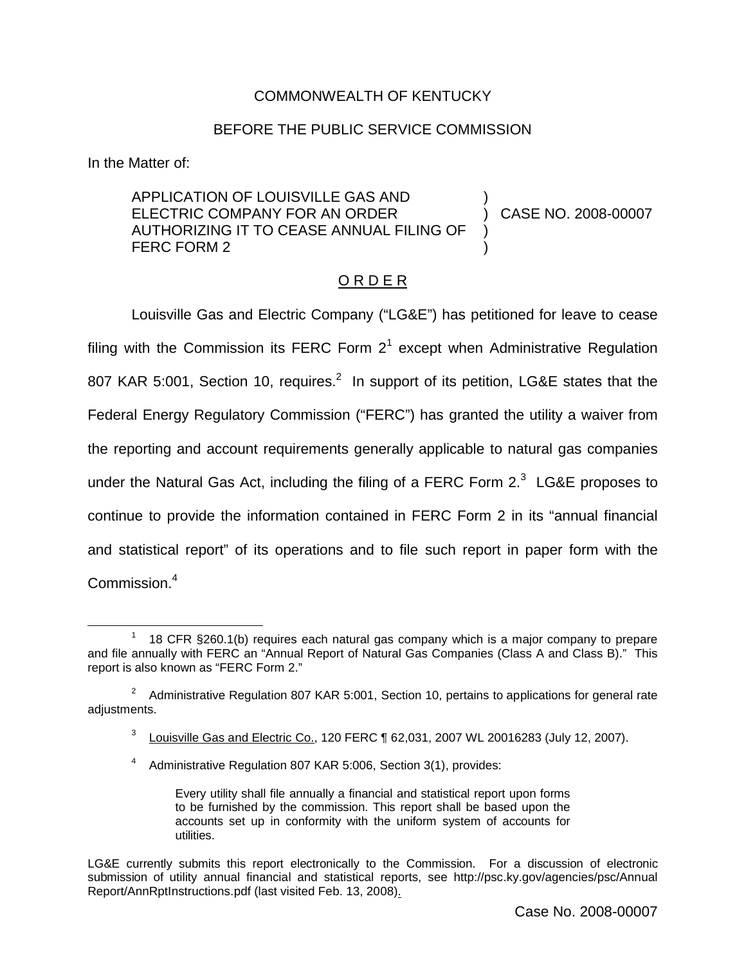## COMMONWEALTH OF KENTUCKY

## BEFORE THE PUBLIC SERVICE COMMISSION

In the Matter of:

APPLICATION OF LOUISVILLE GAS AND ELECTRIC COMPANY FOR AN ORDER AUTHORIZING IT TO CEASE ANNUAL FILING OF FERC FORM 2

) CASE NO. 2008-00007

)

) )

## O R D E R

Louisville Gas and Electric Company ("LG&E") has petitioned for leave to cease filing with the Commission its FERC Form  $2<sup>1</sup>$  except when Administrative Regulation 807 KAR 5:001, Section 10, requires.<sup>2</sup> In support of its petition, LG&E states that the Federal Energy Regulatory Commission ("FERC") has granted the utility a waiver from the reporting and account requirements generally applicable to natural gas companies under the Natural Gas Act, including the filing of a FERC Form  $2.3$  LG&E proposes to continue to provide the information contained in FERC Form 2 in its "annual financial and statistical report" of its operations and to file such report in paper form with the Commission.<sup>4</sup>

<sup>1</sup> 18 CFR §260.1(b) requires each natural gas company which is a major company to prepare and file annually with FERC an "Annual Report of Natural Gas Companies (Class A and Class B)." This report is also known as "FERC Form 2."

 $2^{\circ}$  Administrative Regulation 807 KAR 5:001, Section 10, pertains to applications for general rate adjustments.

 $3$  Louisville Gas and Electric Co., 120 FERC  $\P$  62,031, 2007 WL 20016283 (July 12, 2007).

<sup>4</sup> Administrative Regulation 807 KAR 5:006, Section 3(1), provides:

Every utility shall file annually a financial and statistical report upon forms to be furnished by the commission. This report shall be based upon the accounts set up in conformity with the uniform system of accounts for utilities.

LG&E currently submits this report electronically to the Commission. For a discussion of electronic submission of utility annual financial and statistical reports, see http://psc.ky.gov/agencies/psc/Annual Report/AnnRptInstructions.pdf (last visited Feb. 13, 2008).